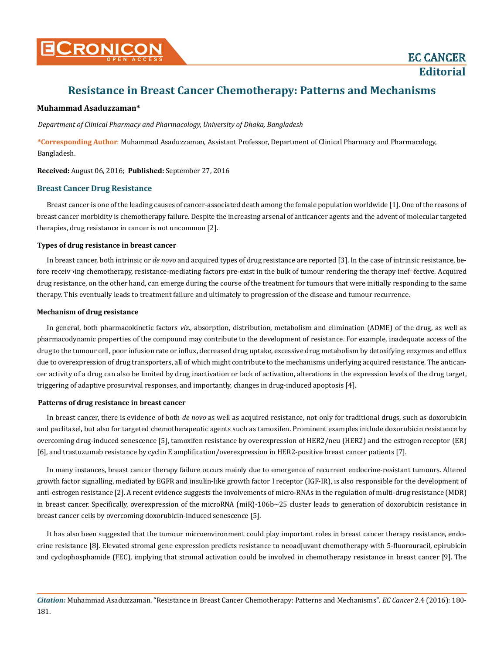**Editorial**

# **Resistance in Breast Cancer Chemotherapy: Patterns and Mechanisms**

#### **Muhammad Asaduzzaman\***

*Department of Clinical Pharmacy and Pharmacology, University of Dhaka, Bangladesh*

**\*Corresponding Author**: Muhammad Asaduzzaman, Assistant Professor, Department of Clinical Pharmacy and Pharmacology, Bangladesh.

**Received:** August 06, 2016; **Published:** September 27, 2016

#### **Breast Cancer Drug Resistance**

Breast cancer is one of the leading causes of cancer-associated death among the female population worldwide [1]. One of the reasons of breast cancer morbidity is chemotherapy failure. Despite the increasing arsenal of anticancer agents and the advent of molecular targeted therapies, drug resistance in cancer is not uncommon [2].

#### **Types of drug resistance in breast cancer**

In breast cancer, both intrinsic or *de novo* and acquired types of drug resistance are reported [3]. In the case of intrinsic resistance, before receiv¬ing chemotherapy, resistance-mediating factors pre-exist in the bulk of tumour rendering the therapy inef¬fective. Acquired drug resistance, on the other hand, can emerge during the course of the treatment for tumours that were initially responding to the same therapy. This eventually leads to treatment failure and ultimately to progression of the disease and tumour recurrence.

#### **Mechanism of drug resistance**

In general, both pharmacokinetic factors *viz.,* absorption, distribution, metabolism and elimination (ADME) of the drug, as well as pharmacodynamic properties of the compound may contribute to the development of resistance. For example, inadequate access of the drug to the tumour cell, poor infusion rate or influx, decreased drug uptake, excessive drug metabolism by detoxifying enzymes and efflux due to overexpression of drug transporters, all of which might contribute to the mechanisms underlying acquired resistance. The anticancer activity of a drug can also be limited by drug inactivation or lack of activation, alterations in the expression levels of the drug target, triggering of adaptive prosurvival responses, and importantly, changes in drug-induced apoptosis [4].

#### **Patterns of drug resistance in breast cancer**

In breast cancer, there is evidence of both *de novo* as well as acquired resistance, not only for traditional drugs, such as doxorubicin and paclitaxel, but also for targeted chemotherapeutic agents such as tamoxifen. Prominent examples include doxorubicin resistance by overcoming drug-induced senescence [5], tamoxifen resistance by overexpression of HER2/neu (HER2) and the estrogen receptor (ER) [6], and trastuzumab resistance by cyclin E amplification/overexpression in HER2-positive breast cancer patients [7].

In many instances, breast cancer therapy failure occurs mainly due to emergence of recurrent endocrine-resistant tumours. Altered growth factor signalling, mediated by EGFR and insulin-like growth factor I receptor (IGF-IR), is also responsible for the development of anti-estrogen resistance [2]. A recent evidence suggests the involvements of micro-RNAs in the regulation of multi-drug resistance (MDR) in breast cancer. Specifically, overexpression of the microRNA (miR)-106b~25 cluster leads to generation of doxorubicin resistance in breast cancer cells by overcoming doxorubicin-induced senescence [5].

It has also been suggested that the tumour microenvironment could play important roles in breast cancer therapy resistance, endocrine resistance [8]. Elevated stromal gene expression predicts resistance to neoadjuvant chemotherapy with 5-fluorouracil, epirubicin and cyclophosphamide (FEC), implying that stromal activation could be involved in chemotherapy resistance in breast cancer [9]. The

*Citation:* Muhammad Asaduzzaman. "Resistance in Breast Cancer Chemotherapy: Patterns and Mechanisms". *EC Cancer* 2.4 (2016): 180- 181.